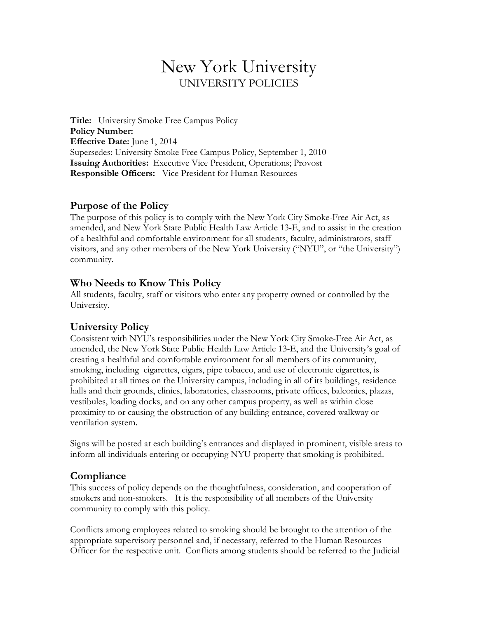# New York University UNIVERSITY POLICIES

**Title:** University Smoke Free Campus Policy **Policy Number: Effective Date:** June 1, 2014 Supersedes: University Smoke Free Campus Policy, September 1, 2010 **Issuing Authorities:** Executive Vice President, Operations; Provost **Responsible Officers:** Vice President for Human Resources

#### **Purpose of the Policy**

The purpose of this policy is to comply with the New York City Smoke-Free Air Act, as amended, and New York State Public Health Law Article 13-E, and to assist in the creation of a healthful and comfortable environment for all students, faculty, administrators, staff visitors, and any other members of the New York University ("NYU", or "the University") community.

### **Who Needs to Know This Policy**

All students, faculty, staff or visitors who enter any property owned or controlled by the University.

# **University Policy**

Consistent with NYU's responsibilities under the New York City Smoke-Free Air Act, as amended, the New York State Public Health Law Article 13-E, and the University's goal of creating a healthful and comfortable environment for all members of its community, smoking, including cigarettes, cigars, pipe tobacco, and use of electronic cigarettes, is prohibited at all times on the University campus, including in all of its buildings, residence halls and their grounds, clinics, laboratories, classrooms, private offices, balconies, plazas, vestibules, loading docks, and on any other campus property, as well as within close proximity to or causing the obstruction of any building entrance, covered walkway or ventilation system.

Signs will be posted at each building's entrances and displayed in prominent, visible areas to inform all individuals entering or occupying NYU property that smoking is prohibited.

# **Compliance**

This success of policy depends on the thoughtfulness, consideration, and cooperation of smokers and non-smokers. It is the responsibility of all members of the University community to comply with this policy.

Conflicts among employees related to smoking should be brought to the attention of the appropriate supervisory personnel and, if necessary, referred to the Human Resources Officer for the respective unit. Conflicts among students should be referred to the Judicial